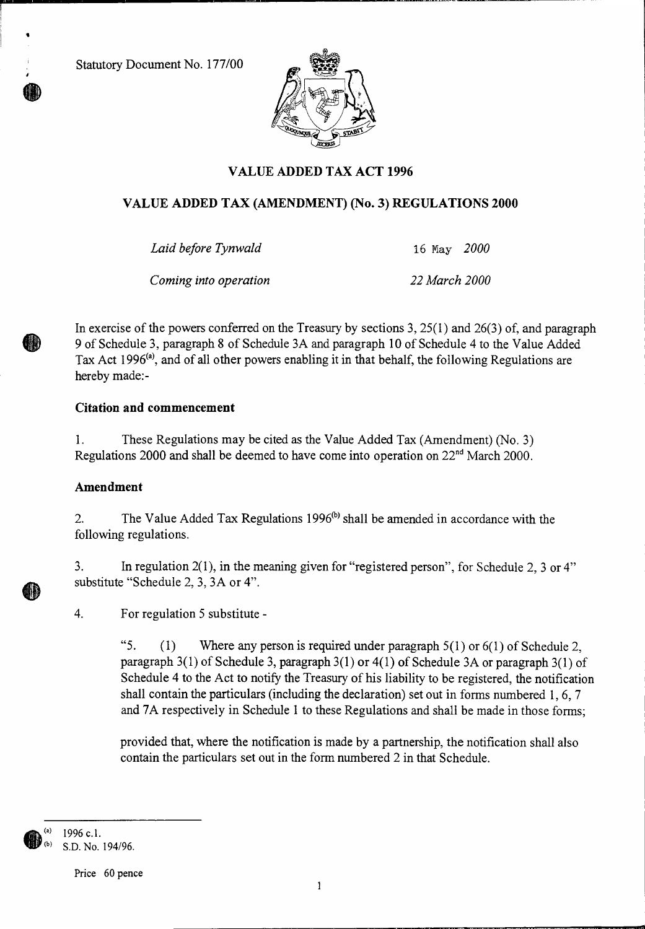Statutory Document No. 177/00



# **VALUE ADDED TAX ACT 1996**

# **VALUE ADDED TAX (AMENDMENT) (No. 3) REGULATIONS 2000**

*Laid before Tynwald* 16 May *2000* 

*Coming into operation 22 March 2000* 

In exercise of the powers conferred on the Treasury by sections 3,  $25(1)$  and  $26(3)$  of, and paragraph 9 of Schedule 3, paragraph 8 of Schedule 3A and paragraph 10 of Schedule 4 to the Value Added Tax Act 1996<sup>(a)</sup>, and of all other powers enabling it in that behalf, the following Regulations are hereby made:-

# **Citation and commencement**

1. These Regulations may be cited as the Value Added Tax (Amendment) (No. 3) Regulations 2000 and shall be deemed to have come into operation on  $22<sup>nd</sup>$  March 2000.

# **Amendment**

2. The Value Added Tax Regulations 1996 $(b)$  shall be amended in accordance with the following regulations.

3. In regulation 2(1), in the meaning given for "registered person", for Schedule 2, 3 or 4" substitute "Schedule 2, 3, 3A or 4".

4. For regulation 5 substitute -

*"5.* (1) Where any person is required under paragraph 5(1) or 6(1) of Schedule 2, paragraph 3(1) of Schedule 3, paragraph 3(1) or 4(1) of Schedule 3A or paragraph 3(1) of Schedule 4 to the Act to notify the Treasury of his liability to be registered, the notification shall contain the particulars (including the declaration) set out in forms numbered 1, 6, 7 and 7A respectively in Schedule 1 to these Regulations and shall be made in those forms;

provided that, where the notification is made by a partnership, the notification shall also contain the particulars set out in the form numbered 2 in that Schedule.

**gh (a)** 1996 c.1. **lur (b)** S.D. No. 194/96.

Price 60 pence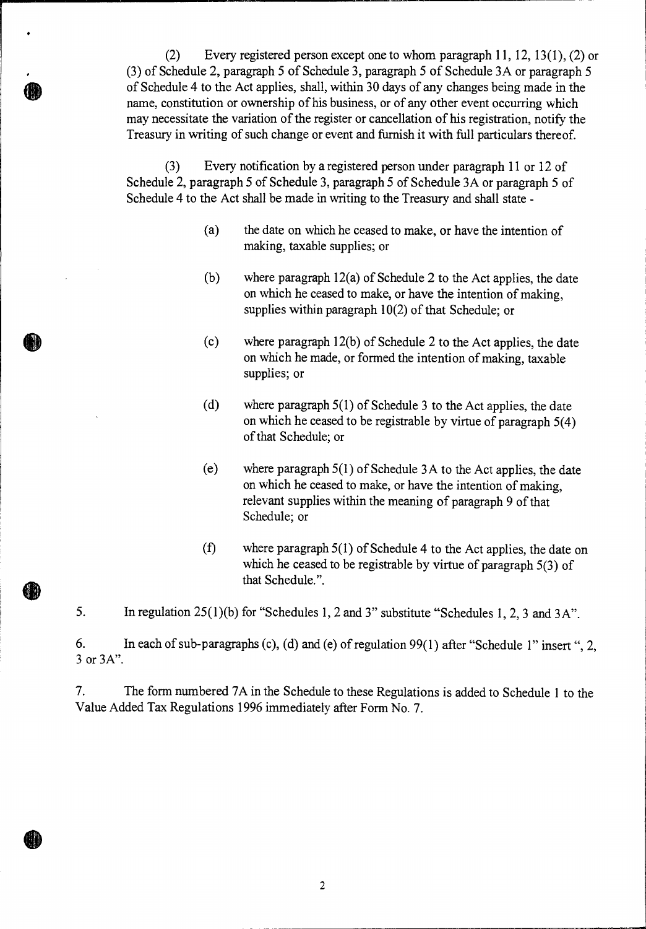(2) Every registered person except one to whom paragraph 11, 12, 13(1), (2) or (3) of Schedule 2, paragraph 5 of Schedule 3, paragraph 5 of Schedule 3A or paragraph 5 of Schedule 4 to the Act applies, shall, within 30 days of any changes being made in the name, constitution or ownership of his business, or of any other event occurring which may necessitate the variation of the register or cancellation of his registration, notify the Treasury in writing of such change or event and furnish it with full particulars thereof

(3) Every notification by a registered person under paragraph 11 or 12 of Schedule 2, paragraph 5 of Schedule 3, paragraph 5 of Schedule 3A or paragraph 5 of Schedule 4 to the Act shall be made in writing to the Treasury and shall state -

- (a) the date on which he ceased to make, or have the intention of making, taxable supplies; or
- (b) where paragraph 12(a) of Schedule 2 to the Act applies, the date on which he ceased to make, or have the intention of making, supplies within paragraph 10(2) of that Schedule; or
- (c) where paragraph 12(b) of Schedule 2 to the Act applies, the date on which he made, or formed the intention of making, taxable supplies; or
- (d) where paragraph 5(1) of Schedule 3 to the Act applies, the date on which he ceased to be registrable by virtue of paragraph 5(4) of that Schedule; or
- (e) where paragraph 5(1) of Schedule 3A to the Act applies, the date on which he ceased to make, or have the intention of making, relevant supplies within the meaning of paragraph 9 of that Schedule; or
- (f) where paragraph 5(1) of Schedule 4 to the Act applies, the date on which he ceased to be registrable by virtue of paragraph 5(3) of that Schedule.".

5. In regulation 25(1)(b) for "Schedules 1, 2 and 3" substitute "Schedules 1, 2, 3 and 3A".

6. In each of sub-paragraphs (c), (d) and (e) of regulation 99(1) after "Schedule 1" insert ", 2, 3 or 3A".

7. The form numbered 7A in the Schedule to these Regulations is added to Schedule 1 to the Value Added Tax Regulations 1996 immediately after Form No. 7.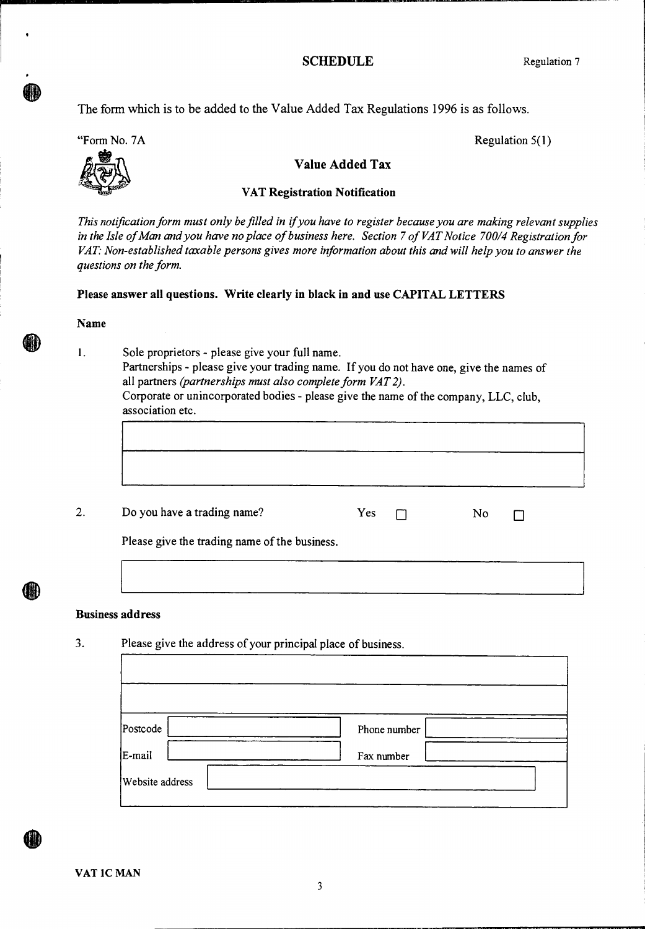### **SCHEDULE** Regulation 7

The form which is to be added to the Value Added Tax Regulations 1996 is as follows.

"Form No. 7A



Regulation 5(1)

# **Value Added Tax**

### **VAT Registration Notification**

*This notification form must only be filled in if you have to register because you are making relevant supplies in the Isle of Man and you have no place of business here. Section 7 of VAT Notice 700/4 Registration for VAT: Non-established taxable persons gives more information about this and will help you to answer the questions on the form.* 

### **Please answer all questions. Write clearly in black in and use CAPITAL LETTERS**

#### **Name**

1. Sole proprietors - please give your full name. Partnerships - please give your trading name. If you do not have one, give the names of all partners *(partnerships must also complete form VAT 2).*  Corporate or unincorporated bodies - please give the name of the company, LLC, club, association etc.

2. Do you have a trading name?

| Yes |  | N٥ |  |
|-----|--|----|--|
|-----|--|----|--|

Please give the trading name of the business.

### **Business address**

3. Please give the address of your principal place of business.

| Postcode               | Phone number |
|------------------------|--------------|
| E-mail                 | Fax number   |
| <b>Website</b> address |              |

**VAT 1C MAN**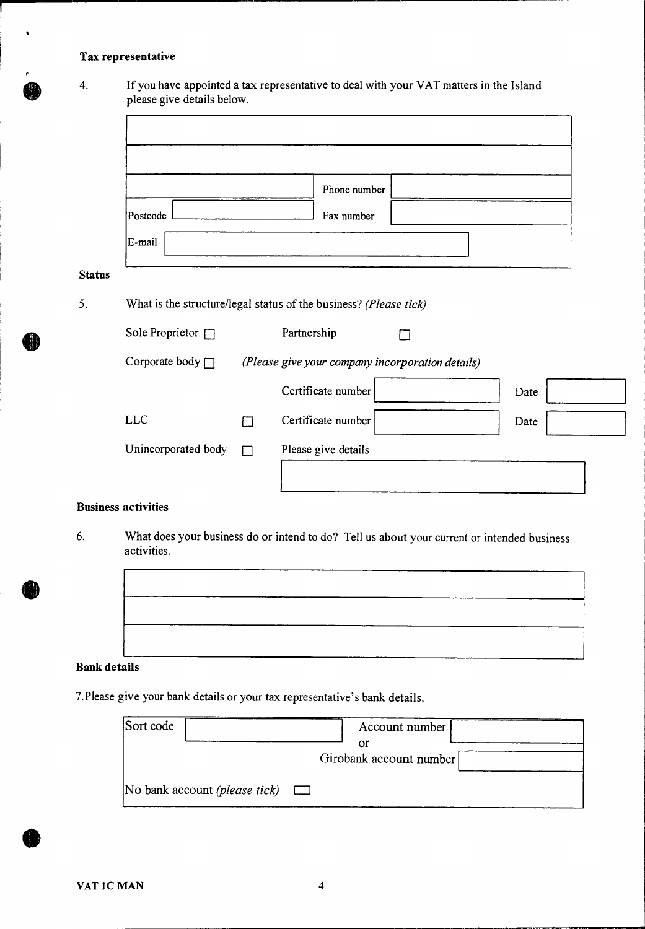## **Tax representative**

 $\bullet$ 

4. If you have appointed a tax representative to deal with your VAT matters in the Island please give details below.

|          | Phone number |  |
|----------|--------------|--|
| Postcode | Fax number   |  |
|          |              |  |

## **Status**

5. What is the structure/legal status of the business? *(Please tick)* 

| Sole Proprietor $\Box$ |   | Partnership                                      |      |  |
|------------------------|---|--------------------------------------------------|------|--|
| Corporate body $\Box$  |   | (Please give your company incorporation details) |      |  |
|                        |   | Certificate number                               | Date |  |
| <b>LLC</b>             |   | Certificate number                               | Date |  |
| Unincorporated body    | П | Please give details                              |      |  |
|                        |   |                                                  |      |  |

## **Business activities**

6. What does your business do or intend to do? Tell us about your current or intended business activities.



#### **Bank details**

7.Please give your bank details or your tax representative's bank details.

| Sort code                                   | Account number          |  |
|---------------------------------------------|-------------------------|--|
|                                             | Ωľ                      |  |
|                                             | Girobank account number |  |
| No bank account <i>(please tick)</i> $\Box$ |                         |  |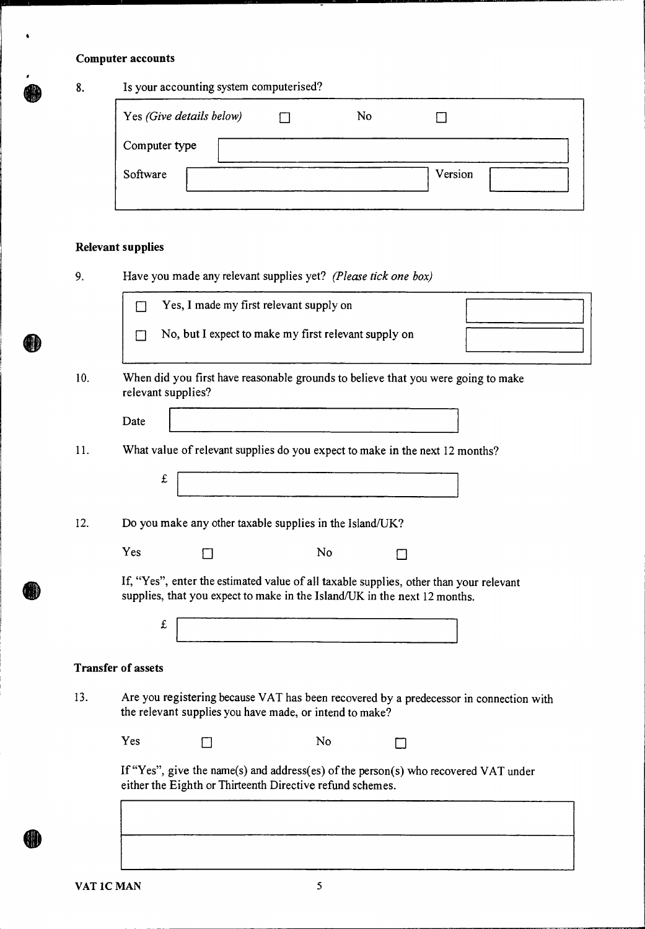# **Computer accounts**

 $\bullet$ 

| 8.  | Is your accounting system computerised?                                                                                                                             |
|-----|---------------------------------------------------------------------------------------------------------------------------------------------------------------------|
|     | Yes (Give details below)<br>No<br>ſТ<br>$\mathsf{L}$                                                                                                                |
|     | Computer type                                                                                                                                                       |
|     | Software<br>Version                                                                                                                                                 |
|     |                                                                                                                                                                     |
|     | <b>Relevant supplies</b>                                                                                                                                            |
| 9.  | Have you made any relevant supplies yet? (Please tick one box)                                                                                                      |
|     | Yes, I made my first relevant supply on<br>П                                                                                                                        |
|     | No, but I expect to make my first relevant supply on<br>$\mathsf{L}$                                                                                                |
| 10. | When did you first have reasonable grounds to believe that you were going to make<br>relevant supplies?                                                             |
|     | Date                                                                                                                                                                |
| 11. | What value of relevant supplies do you expect to make in the next 12 months?                                                                                        |
|     | £                                                                                                                                                                   |
|     |                                                                                                                                                                     |
| 12. | Do you make any other taxable supplies in the Island/UK?                                                                                                            |
|     | Yes<br>No                                                                                                                                                           |
|     | If, "Yes", enter the estimated value of all taxable supplies, other than your relevant<br>supplies, that you expect to make in the Island/UK in the next 12 months. |
|     | £                                                                                                                                                                   |
|     | <b>Transfer of assets</b>                                                                                                                                           |
| 13. | Are you registering because VAT has been recovered by a predecessor in connection with<br>the relevant supplies you have made, or intend to make?                   |
|     | Yes<br>No                                                                                                                                                           |
|     | If "Yes", give the name(s) and address(es) of the person(s) who recovered VAT under<br>either the Eighth or Thirteenth Directive refund schemes.                    |
|     |                                                                                                                                                                     |
|     |                                                                                                                                                                     |
|     |                                                                                                                                                                     |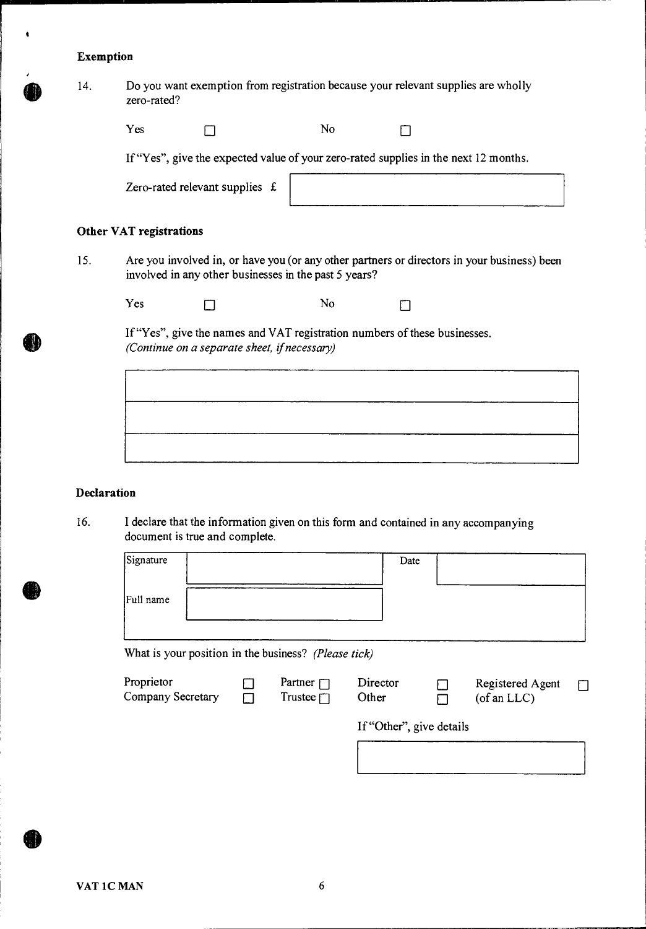# **Exemption**

 $\bullet$ 

| 14. | Do you want exemption from registration because your relevant supplies are wholly<br>zero-rated? |                                              |                                                                                      |  |                                                                                             |  |  |  |
|-----|--------------------------------------------------------------------------------------------------|----------------------------------------------|--------------------------------------------------------------------------------------|--|---------------------------------------------------------------------------------------------|--|--|--|
|     | Yes                                                                                              |                                              | No                                                                                   |  |                                                                                             |  |  |  |
|     |                                                                                                  |                                              | If "Yes", give the expected value of your zero-rated supplies in the next 12 months. |  |                                                                                             |  |  |  |
|     |                                                                                                  | Zero-rated relevant supplies £               |                                                                                      |  |                                                                                             |  |  |  |
|     | <b>Other VAT registrations</b>                                                                   |                                              |                                                                                      |  |                                                                                             |  |  |  |
| 15. |                                                                                                  |                                              | involved in any other businesses in the past 5 years?                                |  | Are you involved in, or have you (or any other partners or directors in your business) been |  |  |  |
|     | Yes                                                                                              |                                              | No                                                                                   |  |                                                                                             |  |  |  |
|     |                                                                                                  | (Continue on a separate sheet, if necessary) | If "Yes", give the names and VAT registration numbers of these businesses.           |  |                                                                                             |  |  |  |
|     |                                                                                                  |                                              |                                                                                      |  |                                                                                             |  |  |  |
|     |                                                                                                  |                                              |                                                                                      |  |                                                                                             |  |  |  |
|     |                                                                                                  |                                              |                                                                                      |  |                                                                                             |  |  |  |

## **Declaration**

16. I declare that the information given on this form and contained in any accompanying document is true and complete.

| Signature | Date |  |
|-----------|------|--|
|           |      |  |
| Full name |      |  |
|           |      |  |

What is your position in the business? *(Please tick)* 

| Proprietor<br>Company Secretary | Partner $\Box$<br>Trustee $\sqcap$ | Director<br>Other        | Registered Agent<br>$($ of an LLC $)$ |  |
|---------------------------------|------------------------------------|--------------------------|---------------------------------------|--|
|                                 |                                    | If "Other", give details |                                       |  |
|                                 |                                    |                          |                                       |  |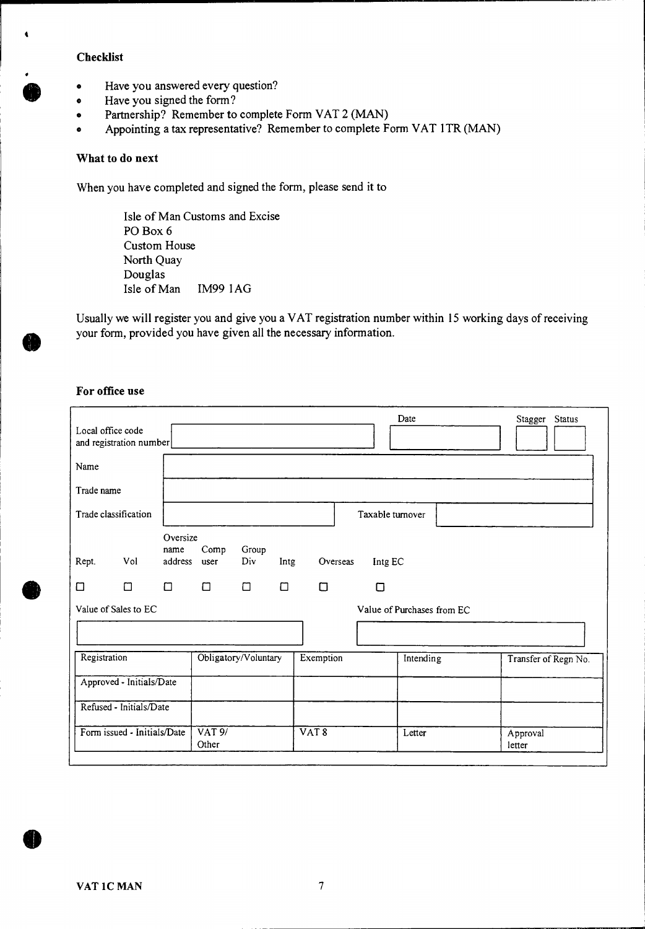## **Checklist**

4

- Have you answered every question?
- Have you signed the form?
- Partnership? Remember to complete Form VAT 2 (MAN)
- Appointing a tax representative? Remember to complete Form VAT 1TR (MAN)

### **What to do next**

When you have completed and signed the form, please send it to

Isle of Man Customs and Excise PO Box 6 Custom House North Quay Douglas Isle of Man IM99 lAG

Usually we will register you and give you a VAT registration number within 15 working days of receiving your form, provided you have given all the necessary information.

## **For office use**

|            | Local office code<br>and registration number |                             |                             |                      |        |                  |                  | Date                       | Stagger Status       |  |
|------------|----------------------------------------------|-----------------------------|-----------------------------|----------------------|--------|------------------|------------------|----------------------------|----------------------|--|
| Name       |                                              |                             |                             |                      |        |                  |                  |                            |                      |  |
| Trade name |                                              |                             |                             |                      |        |                  |                  |                            |                      |  |
|            | Trade classification                         |                             |                             |                      |        |                  | Taxable turnover |                            |                      |  |
| Rept.      | Vol                                          | Oversize<br>name<br>address | Comp<br>user                | Group<br>Div         | Intg   | Overseas         | Intg EC          |                            |                      |  |
| $\Box$     | □                                            | $\Box$                      | $\Box$                      | $\Box$               | $\Box$ | $\Box$           | □                |                            |                      |  |
|            | Value of Sales to EC                         |                             |                             |                      |        |                  |                  | Value of Purchases from EC |                      |  |
|            |                                              |                             |                             |                      |        |                  |                  |                            |                      |  |
|            | Registration                                 |                             |                             | Obligatory/Voluntary |        | Exemption        |                  | Intending                  | Transfer of Regn No. |  |
|            | Approved - Initials/Date                     |                             |                             |                      |        |                  |                  |                            |                      |  |
|            | Refused - Initials/Date                      |                             |                             |                      |        |                  |                  |                            |                      |  |
|            | Form issued - Initials/Date                  |                             | $\overline{VAT9/}$<br>Other |                      |        | VAT <sub>8</sub> |                  | Letter                     | Approval<br>letter   |  |